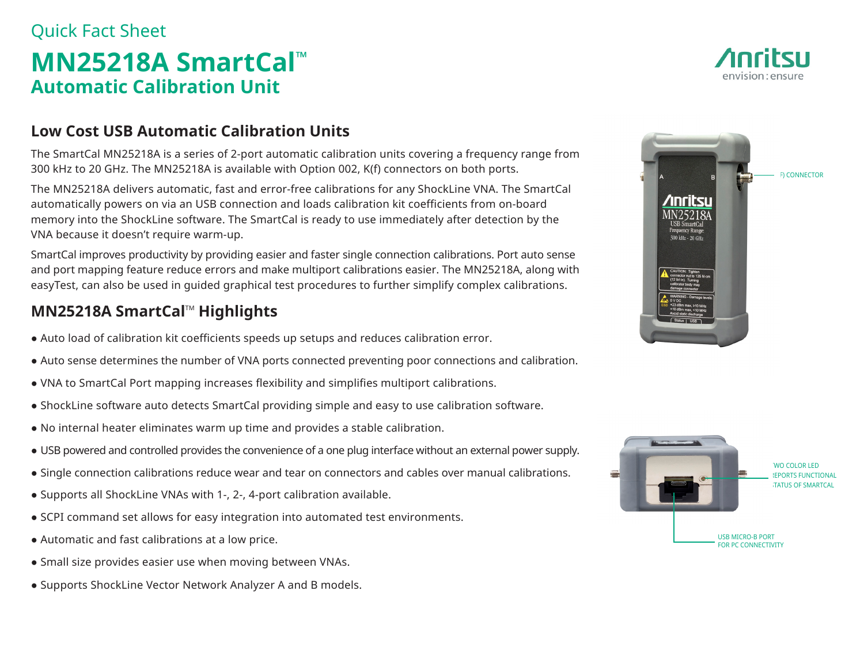# Quick Fact Sheet **MN25218A SmartCal™ Automatic Calibration Unit**

### **Low Cost USB Automatic Calibration Units**

The SmartCal MN25218A is a series of 2-port automatic calibration units covering a frequency range from 300 kHz to 20 GHz. The MN25218A is available with Option 002, K(f) connectors on both ports.

The MN25218A delivers automatic, fast and error-free calibrations for any ShockLine VNA. The SmartCal automatically powers on via an USB connection and loads calibration kit coefficients from on-board memory into the ShockLine software. The SmartCal is ready to use immediately after detection by the VNA because it doesn't require warm-up.

SmartCal improves productivity by providing easier and faster single connection calibrations. Port auto sense and port mapping feature reduce errors and make multiport calibrations easier. The MN25218A, along with easyTest, can also be used in guided graphical test procedures to further simplify complex calibrations.

### **MN25218A SmartCal™ Highlights**

- Auto load of calibration kit coefficients speeds up setups and reduces calibration error.
- Auto sense determines the number of VNA ports connected preventing poor connections and calibration.
- VNA to SmartCal Port mapping increases flexibility and simplifies multiport calibrations.
- ShockLine software auto detects SmartCal providing simple and easy to use calibration software.
- No internal heater eliminates warm up time and provides a stable calibration.
- USB powered and controlled provides the convenience of a one plug interface without an external power supply.
- Single connection calibrations reduce wear and tear on connectors and cables over manual calibrations.
- Supports all ShockLine VNAs with 1-, 2-, 4-port calibration available.
- SCPI command set allows for easy integration into automated test environments.
- Automatic and fast calibrations at a low price.
- Small size provides easier use when moving between VNAs.
- Supports ShockLine Vector Network Analyzer A and B models.